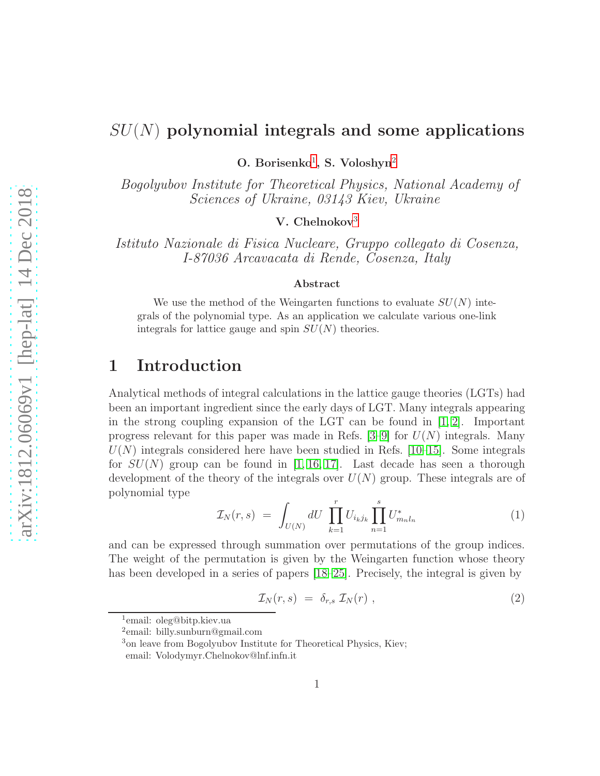## $SU(N)$  polynomial integrals and some applications

O. Borisenko<sup>[1](#page-0-0)</sup>, S. Voloshyn<sup>[2](#page-0-1)</sup>

Bogolyubov Institute for Theoretical Physics, National Academy of Sciences of Ukraine, 03143 Kiev, Ukraine

V. Chelnokov<sup>[3](#page-0-2)</sup>

Istituto Nazionale di Fisica Nucleare, Gruppo collegato di Cosenza, I-87036 Arcavacata di Rende, Cosenza, Italy

#### Abstract

We use the method of the Weingarten functions to evaluate  $SU(N)$  integrals of the polynomial type. As an application we calculate various one-link integrals for lattice gauge and spin  $SU(N)$  theories.

### 1 Introduction

Analytical methods of integral calculations in the lattice gauge theories (LGTs) had been an important ingredient since the early days of LGT. Many integrals appearing in the strong coupling expansion of the LGT can be found in  $[1, 2]$  $[1, 2]$ . Important progress relevant for this paper was made in Refs.  $[3-9]$  for  $U(N)$  integrals. Many  $U(N)$  integrals considered here have been studied in Refs. [\[10](#page-17-1)[–15\]](#page-17-2). Some integrals for  $SU(N)$  group can be found in [\[1,](#page-16-0) [16,](#page-17-3) [17\]](#page-17-4). Last decade has seen a thorough development of the theory of the integrals over  $U(N)$  group. These integrals are of polynomial type

<span id="page-0-3"></span>
$$
\mathcal{I}_N(r,s) = \int_{U(N)} dU \prod_{k=1}^r U_{i_k j_k} \prod_{n=1}^s U_{m_n l_n}^* \tag{1}
$$

and can be expressed through summation over permutations of the group indices. The weight of the permutation is given by the Weingarten function whose theory has been developed in a series of papers [\[18](#page-17-5)[–25\]](#page-17-6). Precisely, the integral is given by

<span id="page-0-4"></span>
$$
\mathcal{I}_N(r,s) = \delta_{r,s} \, \mathcal{I}_N(r) \;, \tag{2}
$$

<sup>1</sup> email: oleg@bitp.kiev.ua

<span id="page-0-0"></span><sup>2</sup> email: billy.sunburn@gmail.com

<span id="page-0-1"></span><sup>&</sup>lt;sup>3</sup>on leave from Bogolyubov Institute for Theoretical Physics, Kiev;

<span id="page-0-2"></span>email: Volodymyr.Chelnokov@lnf.infn.it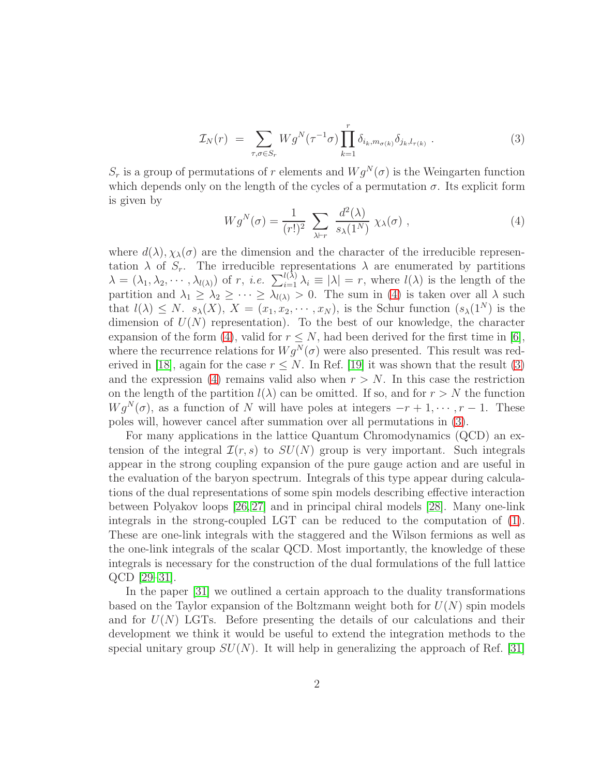<span id="page-1-1"></span>
$$
\mathcal{I}_N(r) = \sum_{\tau,\sigma \in S_r} W g^N(\tau^{-1}\sigma) \prod_{k=1}^r \delta_{i_k, m_{\sigma(k)}} \delta_{j_k, l_{\tau(k)}}.
$$
 (3)

 $S_r$  is a group of permutations of r elements and  $W g^N(\sigma)$  is the Weingarten function which depends only on the length of the cycles of a permutation  $\sigma$ . Its explicit form is given by

<span id="page-1-0"></span>
$$
Wg^N(\sigma) = \frac{1}{(r!)^2} \sum_{\lambda \vdash r} \frac{d^2(\lambda)}{s_{\lambda}(1^N)} \chi_{\lambda}(\sigma) , \qquad (4)
$$

where  $d(\lambda), \chi_{\lambda}(\sigma)$  are the dimension and the character of the irreducible representation  $\lambda$  of  $S_r$ . The irreducible representations  $\lambda$  are enumerated by partitions  $\lambda = (\lambda_1, \lambda_2, \cdots, \lambda_{l(\lambda)})$  of r, *i.e.*  $\sum_{i=1}^{l(\lambda)} \lambda_i \equiv |\lambda| = r$ , where  $l(\lambda)$  is the length of the partition and  $\lambda_1 \geq \lambda_2 \geq \cdots \geq \lambda_{l(\lambda)} > 0$ . The sum in [\(4\)](#page-1-0) is taken over all  $\lambda$  such that  $l(\lambda) \leq N$ .  $s_{\lambda}(X)$ ,  $X = (x_1, x_2, \dots, x_N)$ , is the Schur function  $(s_{\lambda}(1^N))$  is the dimension of  $U(N)$  representation). To the best of our knowledge, the character expansion of the form [\(4\)](#page-1-0), valid for  $r \leq N$ , had been derived for the first time in [\[6\]](#page-16-3), where the recurrence relations for  $W g^N(\sigma)$  were also presented. This result was red-erived in [\[18\]](#page-17-5), again for the case  $r \leq N$ . In Ref. [\[19\]](#page-17-7) it was shown that the result [\(3\)](#page-1-1) and the expression [\(4\)](#page-1-0) remains valid also when  $r > N$ . In this case the restriction on the length of the partition  $l(\lambda)$  can be omitted. If so, and for  $r > N$  the function  $W g^N(\sigma)$ , as a function of N will have poles at integers  $-r+1, \dots, r-1$ . These poles will, however cancel after summation over all permutations in [\(3\)](#page-1-1).

For many applications in the lattice Quantum Chromodynamics (QCD) an extension of the integral  $\mathcal{I}(r, s)$  to  $SU(N)$  group is very important. Such integrals appear in the strong coupling expansion of the pure gauge action and are useful in the evaluation of the baryon spectrum. Integrals of this type appear during calculations of the dual representations of some spin models describing effective interaction between Polyakov loops [\[26,](#page-17-8) [27\]](#page-17-9) and in principal chiral models [\[28\]](#page-18-0). Many one-link integrals in the strong-coupled LGT can be reduced to the computation of [\(1\)](#page-0-3). These are one-link integrals with the staggered and the Wilson fermions as well as the one-link integrals of the scalar QCD. Most importantly, the knowledge of these integrals is necessary for the construction of the dual formulations of the full lattice QCD [\[29](#page-18-1)[–31\]](#page-18-2).

In the paper [\[31\]](#page-18-2) we outlined a certain approach to the duality transformations based on the Taylor expansion of the Boltzmann weight both for  $U(N)$  spin models and for  $U(N)$  LGTs. Before presenting the details of our calculations and their development we think it would be useful to extend the integration methods to the special unitary group  $SU(N)$ . It will help in generalizing the approach of Ref. [\[31\]](#page-18-2)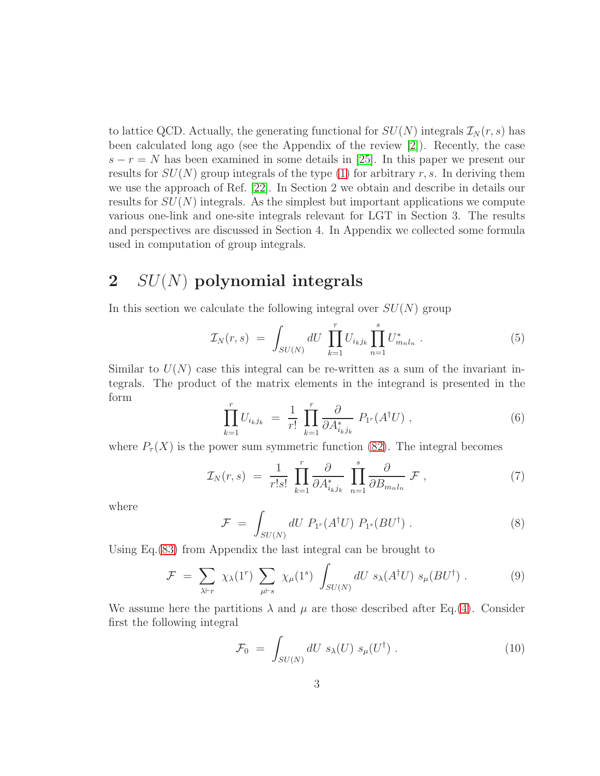to lattice QCD. Actually, the generating functional for  $SU(N)$  integrals  $\mathcal{I}_N(r,s)$  has been calculated long ago (see the Appendix of the review [\[2\]](#page-16-1)). Recently, the case  $s - r = N$  has been examined in some details in [\[25\]](#page-17-6). In this paper we present our results for  $SU(N)$  group integrals of the type [\(1\)](#page-0-3) for arbitrary r, s. In deriving them we use the approach of Ref. [\[22\]](#page-17-10). In Section 2 we obtain and describe in details our results for  $SU(N)$  integrals. As the simplest but important applications we compute various one-link and one-site integrals relevant for LGT in Section 3. The results and perspectives are discussed in Section 4. In Appendix we collected some formula used in computation of group integrals.

# $2$   $SU(N)$  polynomial integrals

In this section we calculate the following integral over  $SU(N)$  group

<span id="page-2-1"></span>
$$
\mathcal{I}_N(r,s) = \int_{SU(N)} dU \prod_{k=1}^r U_{i_k j_k} \prod_{n=1}^s U_{m_n l_n}^* \ . \tag{5}
$$

Similar to  $U(N)$  case this integral can be re-written as a sum of the invariant integrals. The product of the matrix elements in the integrand is presented in the form

<span id="page-2-2"></span>
$$
\prod_{k=1}^r U_{i_k j_k} = \frac{1}{r!} \prod_{k=1}^r \frac{\partial}{\partial A_{i_k j_k}^*} P_{1r}(A^{\dagger} U) , \qquad (6)
$$

where  $P_{\tau}(X)$  is the power sum symmetric function [\(82\)](#page-15-0). The integral becomes

$$
\mathcal{I}_N(r,s) = \frac{1}{r!s!} \prod_{k=1}^r \frac{\partial}{\partial A_{i_k j_k}^*} \prod_{n=1}^s \frac{\partial}{\partial B_{m_n l_n}} \mathcal{F}, \qquad (7)
$$

where

<span id="page-2-3"></span>
$$
\mathcal{F} = \int_{SU(N)} dU \ P_{1^r}(A^{\dagger}U) \ P_{1^s}(BU^{\dagger}) \ . \tag{8}
$$

Using Eq.[\(83\)](#page-15-1) from Appendix the last integral can be brought to

<span id="page-2-0"></span>
$$
\mathcal{F} = \sum_{\lambda \vdash r} \chi_{\lambda}(1^r) \sum_{\mu \vdash s} \chi_{\mu}(1^s) \int_{SU(N)} dU \ s_{\lambda}(A^{\dagger}U) \ s_{\mu}(BU^{\dagger}) \ . \tag{9}
$$

We assume here the partitions  $\lambda$  and  $\mu$  are those described after Eq.[\(4\)](#page-1-0). Consider first the following integral

$$
\mathcal{F}_0 = \int_{SU(N)} dU \ s_{\lambda}(U) \ s_{\mu}(U^{\dagger}) \ . \tag{10}
$$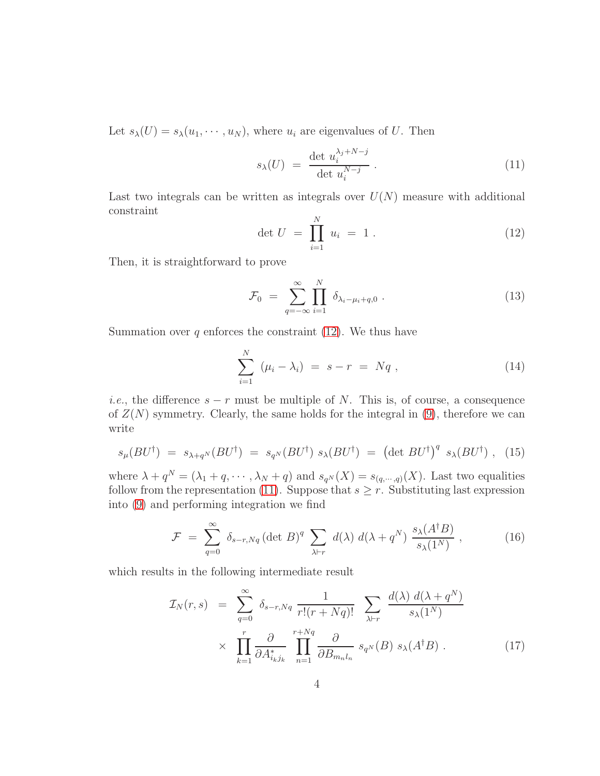Let  $s_{\lambda}(U) = s_{\lambda}(u_1, \dots, u_N)$ , where  $u_i$  are eigenvalues of U. Then

<span id="page-3-1"></span>
$$
s_{\lambda}(U) = \frac{\det u_i^{\lambda_j + N - j}}{\det u_i^{N - j}}.
$$
\n(11)

Last two integrals can be written as integrals over  $U(N)$  measure with additional constraint

<span id="page-3-0"></span>
$$
\det U = \prod_{i=1}^{N} u_i = 1.
$$
 (12)

Then, it is straightforward to prove

$$
\mathcal{F}_0 = \sum_{q=-\infty}^{\infty} \prod_{i=1}^N \delta_{\lambda_i - \mu_i + q, 0} . \tag{13}
$$

Summation over  $q$  enforces the constraint  $(12)$ . We thus have

$$
\sum_{i=1}^{N} (\mu_i - \lambda_i) = s - r = Nq , \qquad (14)
$$

*i.e.*, the difference  $s - r$  must be multiple of N. This is, of course, a consequence of  $Z(N)$  symmetry. Clearly, the same holds for the integral in  $(9)$ , therefore we can write

$$
s_{\mu}(BU^{\dagger}) = s_{\lambda + q^N}(BU^{\dagger}) = s_{q^N}(BU^{\dagger}) s_{\lambda}(BU^{\dagger}) = (\det BU^{\dagger})^q s_{\lambda}(BU^{\dagger}), (15)
$$

where  $\lambda + q^N = (\lambda_1 + q, \dots, \lambda_N + q)$  and  $s_{q^N}(X) = s_{(q, \dots, q)}(X)$ . Last two equalities follow from the representation [\(11\)](#page-3-1). Suppose that  $s \geq r$ . Substituting last expression into [\(9\)](#page-2-0) and performing integration we find

$$
\mathcal{F} = \sum_{q=0}^{\infty} \delta_{s-r,Nq} (\det B)^q \sum_{\lambda \vdash r} d(\lambda) d(\lambda + q^N) \frac{s_{\lambda}(A^{\dagger}B)}{s_{\lambda}(1^N)}, \qquad (16)
$$

which results in the following intermediate result

<span id="page-3-2"></span>
$$
\mathcal{I}_N(r,s) = \sum_{q=0}^{\infty} \delta_{s-r,Nq} \frac{1}{r!(r+Nq)!} \sum_{\lambda \vdash r} \frac{d(\lambda) d(\lambda + q^N)}{s_{\lambda}(1^N)} \times \prod_{k=1}^r \frac{\partial}{\partial A_{i_k j_k}^*} \prod_{n=1}^{r+Nq} \frac{\partial}{\partial B_{m_n l_n}} s_{q^N}(B) s_{\lambda}(A^{\dagger}B) . \tag{17}
$$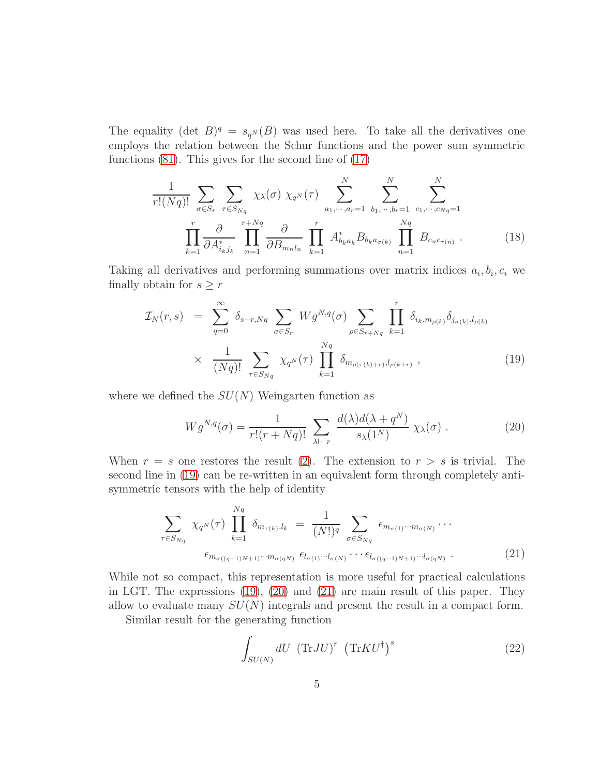The equality (det  $B)^q = s_{q^N}(B)$  was used here. To take all the derivatives one employs the relation between the Schur functions and the power sum symmetric functions  $(81)$ . This gives for the second line of  $(17)$ 

$$
\frac{1}{r!(Nq)!} \sum_{\sigma \in S_r} \sum_{\tau \in S_{Nq}} \chi_{\lambda}(\sigma) \chi_{q^N}(\tau) \sum_{a_1, \dots, a_r=1}^N \sum_{b_1, \dots, b_r=1}^N \sum_{c_1, \dots, c_{Nq}=1}^N
$$

$$
\prod_{k=1}^r \frac{\partial}{\partial A_{i_k j_k}^*} \prod_{n=1}^{r+Nq} \frac{\partial}{\partial B_{m_n l_n}} \prod_{k=1}^r A_{b_k a_k}^* B_{b_k a_{\sigma(k)}} \prod_{n=1}^{Nq} B_{c_n c_{\tau(n)}}.
$$
(18)

Taking all derivatives and performing summations over matrix indices  $a_i, b_i, c_i$  we finally obtain for  $s \geq r$ 

<span id="page-4-0"></span>
$$
\mathcal{I}_N(r,s) = \sum_{q=0}^{\infty} \delta_{s-r,Nq} \sum_{\sigma \in S_r} W g^{N,q}(\sigma) \sum_{\rho \in S_{r+Nq}} \prod_{k=1}^r \delta_{i_k, m_{\rho(k)}} \delta_{j_{\sigma(k)},l_{\rho(k)}}
$$
  
 
$$
\times \frac{1}{(Nq)!} \sum_{\tau \in S_{Nq}} \chi_{q^N}(\tau) \prod_{k=1}^{Nq} \delta_{m_{\rho(\tau(k)+r)},l_{\rho(k+r)}}, \qquad (19)
$$

where we defined the  $SU(N)$  Weingarten function as

<span id="page-4-1"></span>
$$
Wg^{N,q}(\sigma) = \frac{1}{r!(r+Nq)!} \sum_{\lambda \vdash r} \frac{d(\lambda)d(\lambda+q^N)}{s_{\lambda}(1^N)} \chi_{\lambda}(\sigma) . \tag{20}
$$

When  $r = s$  one restores the result [\(2\)](#page-0-4). The extension to  $r > s$  is trivial. The second line in [\(19\)](#page-4-0) can be re-written in an equivalent form through completely antisymmetric tensors with the help of identity

<span id="page-4-2"></span>
$$
\sum_{\tau \in S_{Nq}} \chi_{q^N}(\tau) \prod_{k=1}^{Nq} \delta_{m_{\tau(k)},l_k} = \frac{1}{(N!)^q} \sum_{\sigma \in S_{Nq}} \epsilon_{m_{\sigma(1)}\cdots m_{\sigma(N)}} \cdots
$$

$$
\epsilon_{m_{\sigma((q-1)N+1)}\cdots m_{\sigma(qN)}} \epsilon_{l_{\sigma(1)}\cdots l_{\sigma(N)}} \cdots \epsilon_{l_{\sigma((q-1)N+1)}\cdots l_{\sigma(qN)}}.
$$
(21)

While not so compact, this representation is more useful for practical calculations in LGT. The expressions [\(19\)](#page-4-0), [\(20\)](#page-4-1) and [\(21\)](#page-4-2) are main result of this paper. They allow to evaluate many  $SU(N)$  integrals and present the result in a compact form.

Similar result for the generating function

<span id="page-4-3"></span>
$$
\int_{SU(N)} dU \, (\text{Tr} JU)^r \, (\text{Tr} KU^{\dagger})^s \tag{22}
$$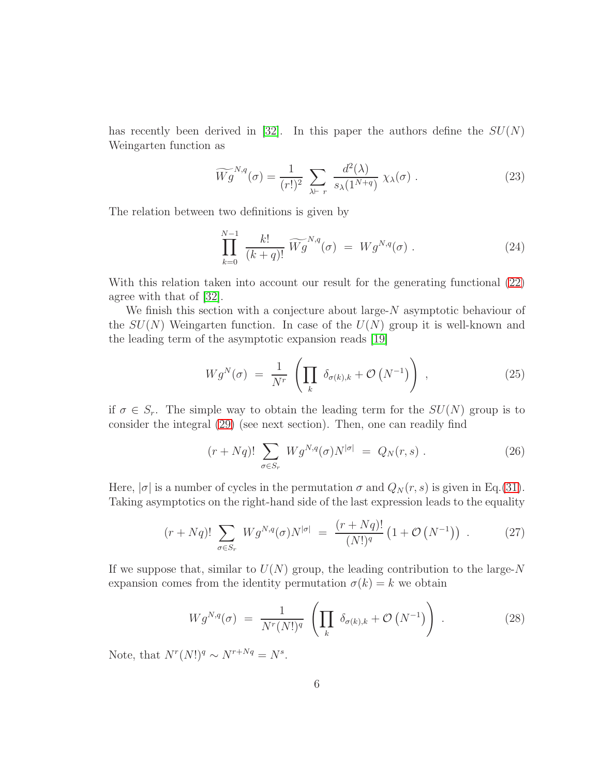has recently been derived in [\[32\]](#page-18-3). In this paper the authors define the  $SU(N)$ Weingarten function as

$$
\widetilde{Wg}^{N,q}(\sigma) = \frac{1}{(r!)^2} \sum_{\lambda \vdash r} \frac{d^2(\lambda)}{s_{\lambda}(1^{N+q})} \chi_{\lambda}(\sigma) . \tag{23}
$$

The relation between two definitions is given by

$$
\prod_{k=0}^{N-1} \frac{k!}{(k+q)!} \ \widetilde{Wg}^{N,q}(\sigma) \ = \ Wg^{N,q}(\sigma) \ . \tag{24}
$$

With this relation taken into account our result for the generating functional [\(22\)](#page-4-3) agree with that of [\[32\]](#page-18-3).

We finish this section with a conjecture about large- $N$  asymptotic behaviour of the  $SU(N)$  Weingarten function. In case of the  $U(N)$  group it is well-known and the leading term of the asymptotic expansion reads [\[19\]](#page-17-7)

<span id="page-5-0"></span>
$$
Wg^N(\sigma) = \frac{1}{N^r} \left( \prod_k \delta_{\sigma(k),k} + \mathcal{O}(N^{-1}) \right) , \qquad (25)
$$

if  $\sigma \in S_r$ . The simple way to obtain the leading term for the  $SU(N)$  group is to consider the integral [\(29\)](#page-6-0) (see next section). Then, one can readily find

$$
(r+Nq)! \sum_{\sigma \in S_r} Wg^{N,q}(\sigma)N^{|\sigma|} = Q_N(r,s) . \qquad (26)
$$

Here,  $|\sigma|$  is a number of cycles in the permutation  $\sigma$  and  $Q_N(r, s)$  is given in Eq.[\(31\)](#page-6-1). Taking asymptotics on the right-hand side of the last expression leads to the equality

$$
(r+Nq)! \sum_{\sigma \in S_r} Wg^{N,q}(\sigma)N^{|\sigma|} = \frac{(r+Nq)!}{(N!)^q} (1+\mathcal{O}(N^{-1})) . \tag{27}
$$

If we suppose that, similar to  $U(N)$  group, the leading contribution to the large-N expansion comes from the identity permutation  $\sigma(k) = k$  we obtain

<span id="page-5-1"></span>
$$
Wg^{N,q}(\sigma) = \frac{1}{N^r(N!)^q} \left( \prod_k \delta_{\sigma(k),k} + \mathcal{O}(N^{-1}) \right) . \tag{28}
$$

Note, that  $N^r(N!)^q \sim N^{r+Nq} = N^s$ .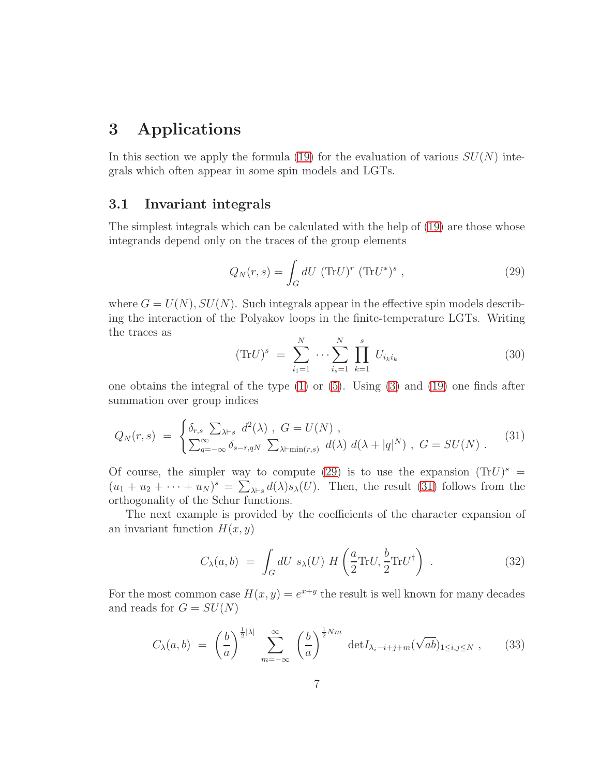### 3 Applications

In this section we apply the formula [\(19\)](#page-4-0) for the evaluation of various  $SU(N)$  integrals which often appear in some spin models and LGTs.

#### 3.1 Invariant integrals

The simplest integrals which can be calculated with the help of [\(19\)](#page-4-0) are those whose integrands depend only on the traces of the group elements

<span id="page-6-0"></span>
$$
Q_N(r,s) = \int_G dU \, (\text{Tr}U)^r \, (\text{Tr}U^*)^s \,, \tag{29}
$$

where  $G = U(N)$ ,  $SU(N)$ . Such integrals appear in the effective spin models describing the interaction of the Polyakov loops in the finite-temperature LGTs. Writing the traces as

$$
(\text{Tr} U)^s = \sum_{i_1=1}^N \cdots \sum_{i_s=1}^N \prod_{k=1}^s U_{i_k i_k}
$$
 (30)

one obtains the integral of the type [\(1\)](#page-0-3) or [\(5\)](#page-2-1). Using [\(3\)](#page-1-1) and [\(19\)](#page-4-0) one finds after summation over group indices

<span id="page-6-1"></span>
$$
Q_N(r,s) = \begin{cases} \delta_{r,s} \sum_{\lambda \vdash s} d^2(\lambda) , G = U(N) , \\ \sum_{q=-\infty}^{\infty} \delta_{s-r,qN} \sum_{\lambda \vdash \min(r,s)} d(\lambda) d(\lambda + |q|^N) , G = SU(N) . \end{cases}
$$
(31)

Of course, the simpler way to compute [\(29\)](#page-6-0) is to use the expansion  $(TrU)^s$  =  $(u_1 + u_2 + \cdots + u_N)^s = \sum_{\lambda \vdash s} d(\lambda) s_\lambda(U)$ . Then, the result [\(31\)](#page-6-1) follows from the orthogonality of the Schur functions.

The next example is provided by the coefficients of the character expansion of an invariant function  $H(x, y)$ 

<span id="page-6-2"></span>
$$
C_{\lambda}(a,b) = \int_{G} dU \ s_{\lambda}(U) \ H\left(\frac{a}{2} \text{Tr}U, \frac{b}{2} \text{Tr}U^{\dagger}\right) \ . \tag{32}
$$

For the most common case  $H(x, y) = e^{x+y}$  the result is well known for many decades and reads for  $G = SU(N)$ 

<span id="page-6-3"></span>
$$
C_{\lambda}(a,b) = \left(\frac{b}{a}\right)^{\frac{1}{2}|\lambda|} \sum_{m=-\infty}^{\infty} \left(\frac{b}{a}\right)^{\frac{1}{2}Nm} \det I_{\lambda_i - i + j + m}(\sqrt{ab})_{1 \le i,j \le N} , \qquad (33)
$$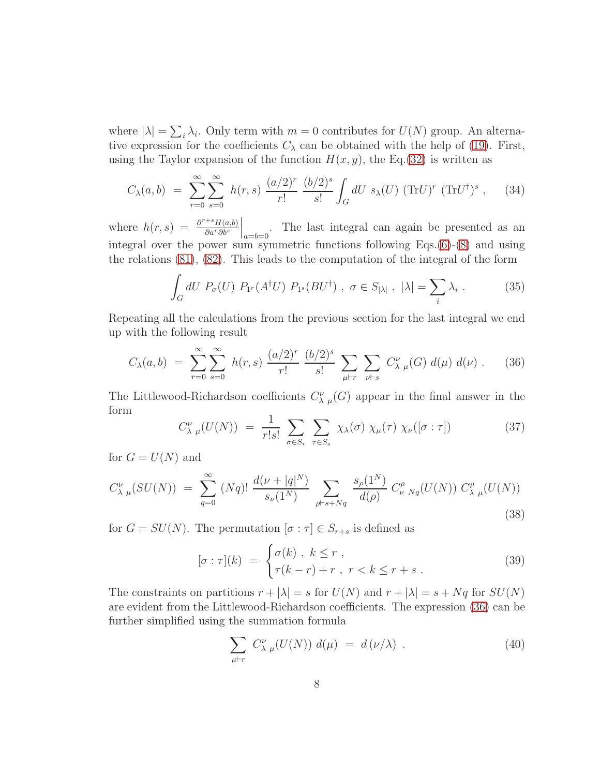where  $|\lambda| = \sum_i \lambda_i$ . Only term with  $m = 0$  contributes for  $U(N)$  group. An alternative expression for the coefficients  $C_{\lambda}$  can be obtained with the help of [\(19\)](#page-4-0). First, using the Taylor expansion of the function  $H(x, y)$ , the Eq.[\(32\)](#page-6-2) is written as

$$
C_{\lambda}(a,b) = \sum_{r=0}^{\infty} \sum_{s=0}^{\infty} h(r,s) \frac{(a/2)^r}{r!} \frac{(b/2)^s}{s!} \int_G dU \ s_{\lambda}(U) \ (\text{Tr}U)^r \ (\text{Tr}U^{\dagger})^s \ , \qquad (34)
$$

where  $h(r,s) = \frac{\partial^{r+s} H(a,b)}{\partial a^r \partial b^s}$ ∂ar∂b<sup>s</sup>  $\Big|_{a=b=0}$ . The last integral can again be presented as an integral over the power sum symmetric functions following Eqs.[\(6\)](#page-2-2)-[\(8\)](#page-2-3) and using the relations [\(81\)](#page-15-2), [\(82\)](#page-15-0). This leads to the computation of the integral of the form

$$
\int_G dU \ P_{\sigma}(U) \ P_{1^r}(A^{\dagger}U) \ P_{1^s}(BU^{\dagger}) \ , \ \sigma \in S_{|\lambda|} \ , \ |\lambda| = \sum_i \lambda_i \ . \tag{35}
$$

Repeating all the calculations from the previous section for the last integral we end up with the following result

<span id="page-7-0"></span>
$$
C_{\lambda}(a,b) = \sum_{r=0}^{\infty} \sum_{s=0}^{\infty} h(r,s) \frac{(a/2)^r}{r!} \frac{(b/2)^s}{s!} \sum_{\mu \vdash r} \sum_{\nu \vdash s} C_{\lambda \mu}^{\nu}(G) d(\mu) d(\nu).
$$
 (36)

The Littlewood-Richardson coefficients  $C^{\nu}_{\lambda \mu}(G)$  appear in the final answer in the form

$$
C_{\lambda\ \mu}^{\nu}(U(N)) = \frac{1}{r!s!} \sum_{\sigma \in S_r} \sum_{\tau \in S_s} \chi_{\lambda}(\sigma) \chi_{\mu}(\tau) \chi_{\nu}([\sigma : \tau]) \tag{37}
$$

for  $G = U(N)$  and

<span id="page-7-1"></span>
$$
C_{\lambda \mu}^{\nu}(SU(N)) = \sum_{q=0}^{\infty} (Nq)! \frac{d(\nu + |q|^N)}{s_{\nu}(1^N)} \sum_{\rho \vdash s + Nq} \frac{s_{\rho}(1^N)}{d(\rho)} C_{\nu \ Nq}^{\rho}(U(N)) C_{\lambda \ \mu}^{\rho}(U(N)) \tag{38}
$$

for  $G = SU(N)$ . The permutation  $[\sigma : \tau] \in S_{r+s}$  is defined as

$$
[\sigma : \tau](k) = \begin{cases} \sigma(k), & k \leq r, \\ \tau(k-r) + r, & r < k \leq r + s. \end{cases}
$$
 (39)

The constraints on partitions  $r + |\lambda| = s$  for  $U(N)$  and  $r + |\lambda| = s + Nq$  for  $SU(N)$ are evident from the Littlewood-Richardson coefficients. The expression [\(36\)](#page-7-0) can be further simplified using the summation formula

$$
\sum_{\mu \vdash r} C_{\lambda \mu}^{\nu}(U(N)) d(\mu) = d(\nu/\lambda). \tag{40}
$$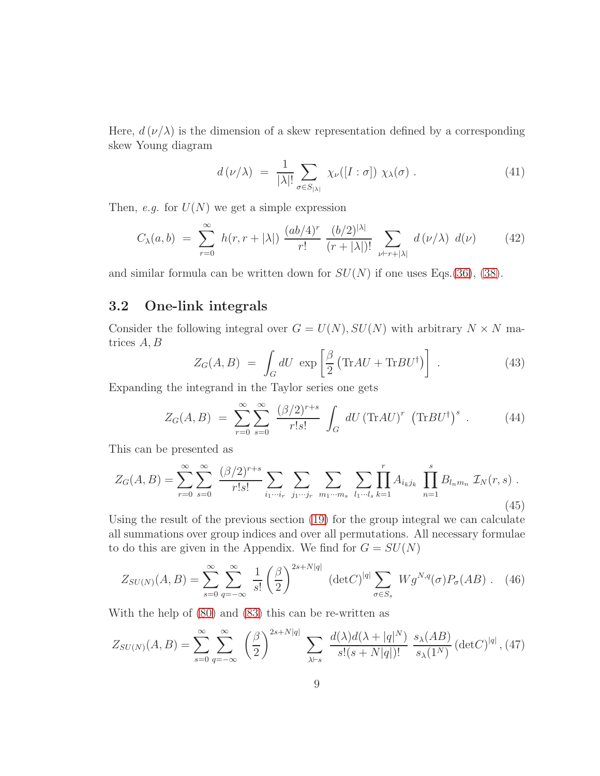Here,  $d(\nu/\lambda)$  is the dimension of a skew representation defined by a corresponding skew Young diagram

$$
d(\nu/\lambda) = \frac{1}{|\lambda|!} \sum_{\sigma \in S_{|\lambda|}} \chi_{\nu}([I : \sigma]) \chi_{\lambda}(\sigma) . \tag{41}
$$

Then, e.g. for  $U(N)$  we get a simple expression

<span id="page-8-3"></span>
$$
C_{\lambda}(a,b) = \sum_{r=0}^{\infty} h(r,r+|\lambda|) \frac{(ab/4)^r}{r!} \frac{(b/2)^{|\lambda|}}{(r+|\lambda|)!} \sum_{\nu \vdash r+|\lambda|} d(\nu/\lambda) d(\nu) \tag{42}
$$

and similar formula can be written down for  $SU(N)$  if one uses Eqs.[\(36\)](#page-7-0), [\(38\)](#page-7-1).

### 3.2 One-link integrals

Consider the following integral over  $G = U(N)$ ,  $SU(N)$  with arbitrary  $N \times N$  matrices A, B

<span id="page-8-1"></span>
$$
Z_G(A, B) = \int_G dU \exp\left[\frac{\beta}{2} \left( \text{Tr}AU + \text{Tr}BU^{\dagger} \right) \right] \,. \tag{43}
$$

Expanding the integrand in the Taylor series one gets

$$
Z_G(A,B) = \sum_{r=0}^{\infty} \sum_{s=0}^{\infty} \frac{(\beta/2)^{r+s}}{r!s!} \int_G dU (\text{Tr}AU)^r (\text{Tr}BU^{\dagger})^s . \tag{44}
$$

This can be presented as

$$
Z_G(A, B) = \sum_{r=0}^{\infty} \sum_{s=0}^{\infty} \frac{(\beta/2)^{r+s}}{r!s!} \sum_{i_1 \cdots i_r} \sum_{j_1 \cdots j_r} \sum_{m_1 \cdots m_s} \sum_{l_1 \cdots l_s} \prod_{k=1}^r A_{i_k j_k} \prod_{n=1}^s B_{l_n m_n} \mathcal{I}_N(r, s) .
$$
\n(45)

Using the result of the previous section [\(19\)](#page-4-0) for the group integral we can calculate all summations over group indices and over all permutations. All necessary formulae to do this are given in the Appendix. We find for  $G = SU(N)$ 

<span id="page-8-2"></span>
$$
Z_{SU(N)}(A,B) = \sum_{s=0}^{\infty} \sum_{q=-\infty}^{\infty} \frac{1}{s!} \left(\frac{\beta}{2}\right)^{2s+N|q|} \left(\det C\right)^{|q|} \sum_{\sigma \in S_s} W g^{N,q}(\sigma) P_{\sigma}(AB) \ . \tag{46}
$$

With the help of [\(80\)](#page-15-3) and [\(83\)](#page-15-1) this can be re-written as

<span id="page-8-0"></span>
$$
Z_{SU(N)}(A,B) = \sum_{s=0}^{\infty} \sum_{q=-\infty}^{\infty} \left(\frac{\beta}{2}\right)^{2s+N|q|} \sum_{\lambda \vdash s} \frac{d(\lambda)d(\lambda+|q|^N)}{s!(s+N|q|)!} \frac{s_{\lambda}(AB)}{s_{\lambda}(1^N)} \left(\det C\right)^{|q|},\tag{47}
$$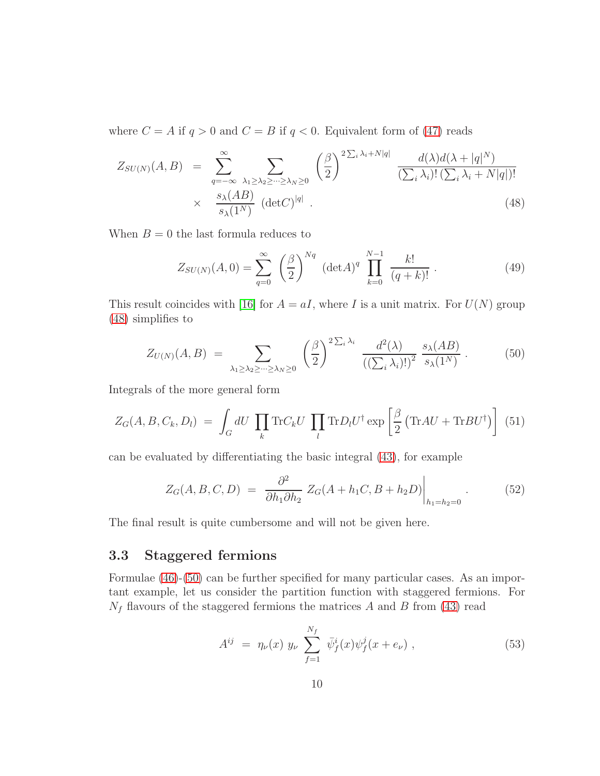where  $C = A$  if  $q > 0$  and  $C = B$  if  $q < 0$ . Equivalent form of [\(47\)](#page-8-0) reads

<span id="page-9-0"></span>
$$
Z_{SU(N)}(A,B) = \sum_{q=-\infty}^{\infty} \sum_{\lambda_1 \ge \lambda_2 \ge \dots \ge \lambda_N \ge 0} \left(\frac{\beta}{2}\right)^{2\sum_{i} \lambda_i + N|q|} \frac{d(\lambda) d(\lambda + |q|^N)}{(\sum_{i} \lambda_i) \, (\sum_{i} \lambda_i + N|q|)!}
$$
  
 
$$
\times \frac{s_{\lambda}(AB)}{s_{\lambda}(1^N)} \ (\text{det}C)^{|q|} . \tag{48}
$$

When  $B = 0$  the last formula reduces to

$$
Z_{SU(N)}(A,0) = \sum_{q=0}^{\infty} \left(\frac{\beta}{2}\right)^{Nq} \left(\det A\right)^q \prod_{k=0}^{N-1} \frac{k!}{(q+k)!} \ . \tag{49}
$$

This result coincides with [\[16\]](#page-17-3) for  $A = aI$ , where I is a unit matrix. For  $U(N)$  group [\(48\)](#page-9-0) simplifies to

<span id="page-9-1"></span>
$$
Z_{U(N)}(A,B) = \sum_{\lambda_1 \geq \lambda_2 \geq \dots \geq \lambda_N \geq 0} \left(\frac{\beta}{2}\right)^{2\sum_i \lambda_i} \frac{d^2(\lambda)}{\left(\left(\sum_i \lambda_i\right)!\right)^2} \frac{s_{\lambda}(AB)}{s_{\lambda}(1^N)}\,. \tag{50}
$$

Integrals of the more general form

$$
Z_G(A, B, C_k, D_l) = \int_G dU \prod_k \text{Tr} C_k U \prod_l \text{Tr} D_l U^{\dagger} \exp \left[ \frac{\beta}{2} \left( \text{Tr} A U + \text{Tr} B U^{\dagger} \right) \right] (51)
$$

can be evaluated by differentiating the basic integral [\(43\)](#page-8-1), for example

$$
Z_G(A, B, C, D) = \left. \frac{\partial^2}{\partial h_1 \partial h_2} \ Z_G(A + h_1 C, B + h_2 D) \right|_{h_1 = h_2 = 0} . \tag{52}
$$

The final result is quite cumbersome and will not be given here.

#### 3.3 Staggered fermions

Formulae [\(46\)](#page-8-2)-[\(50\)](#page-9-1) can be further specified for many particular cases. As an important example, let us consider the partition function with staggered fermions. For  $N_f$  flavours of the staggered fermions the matrices A and B from [\(43\)](#page-8-1) read

<span id="page-9-2"></span>
$$
A^{ij} = \eta_{\nu}(x) y_{\nu} \sum_{f=1}^{N_f} \bar{\psi}_f^i(x) \psi_f^j(x + e_{\nu}), \qquad (53)
$$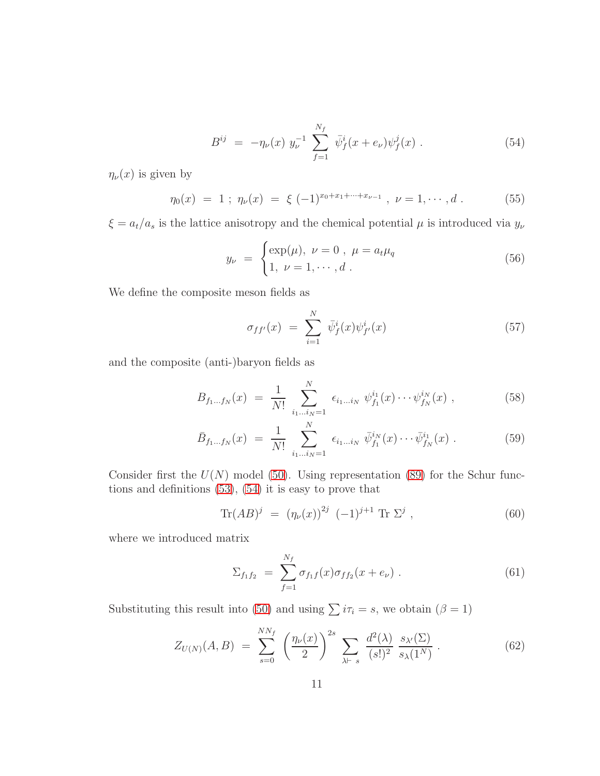<span id="page-10-0"></span>
$$
B^{ij} = -\eta_{\nu}(x) y_{\nu}^{-1} \sum_{f=1}^{N_f} \bar{\psi}_f^i(x + e_{\nu}) \psi_f^j(x) . \qquad (54)
$$

 $\eta_{\nu}(x)$  is given by

$$
\eta_0(x) = 1 \; ; \; \eta_\nu(x) = \; \xi \; (-1)^{x_0 + x_1 + \dots + x_{\nu - 1}} \; , \; \nu = 1, \cdots, d \; . \tag{55}
$$

 $\xi = a_t/a_s$  is the lattice anisotropy and the chemical potential  $\mu$  is introduced via  $y_{\nu}$ 

$$
y_{\nu} = \begin{cases} \exp(\mu), \ \nu = 0 \ , \ \mu = a_t \mu_q \\ 1, \ \nu = 1, \cdots, d \ . \end{cases} \tag{56}
$$

We define the composite meson fields as

$$
\sigma_{ff'}(x) = \sum_{i=1}^{N} \bar{\psi}_f^i(x) \psi_{f'}^i(x) \tag{57}
$$

and the composite (anti-)baryon fields as

$$
B_{f_1\ldots f_N}(x) = \frac{1}{N!} \sum_{i_1\ldots i_N=1}^N \epsilon_{i_1\ldots i_N} \psi_{f_1}^{i_1}(x) \cdots \psi_{f_N}^{i_N}(x) , \qquad (58)
$$

$$
\bar{B}_{f_1\ldots f_N}(x) = \frac{1}{N!} \sum_{i_1\ldots i_N=1}^N \epsilon_{i_1\ldots i_N} \,\bar{\psi}_{f_1}^{i_N}(x) \cdots \bar{\psi}_{f_N}^{i_1}(x) \,. \tag{59}
$$

Consider first the  $U(N)$  model [\(50\)](#page-9-1). Using representation [\(89\)](#page-16-4) for the Schur functions and definitions  $(53)$ ,  $(54)$  it is easy to prove that

$$
\text{Tr}(AB)^j = (\eta_{\nu}(x))^{2j} (-1)^{j+1} \text{Tr } \Sigma^j , \qquad (60)
$$

where we introduced matrix

$$
\Sigma_{f_1 f_2} = \sum_{f=1}^{N_f} \sigma_{f_1 f}(x) \sigma_{f f_2}(x + e_{\nu}). \tag{61}
$$

Substituting this result into [\(50\)](#page-9-1) and using  $\sum i\tau_i = s$ , we obtain ( $\beta = 1$ )

<span id="page-10-1"></span>
$$
Z_{U(N)}(A,B) = \sum_{s=0}^{NN_f} \left(\frac{\eta_{\nu}(x)}{2}\right)^{2s} \sum_{\lambda \vdash s} \frac{d^2(\lambda)}{(s!)^2} \frac{s_{\lambda'}(\Sigma)}{s_{\lambda}(1^N)}.
$$
 (62)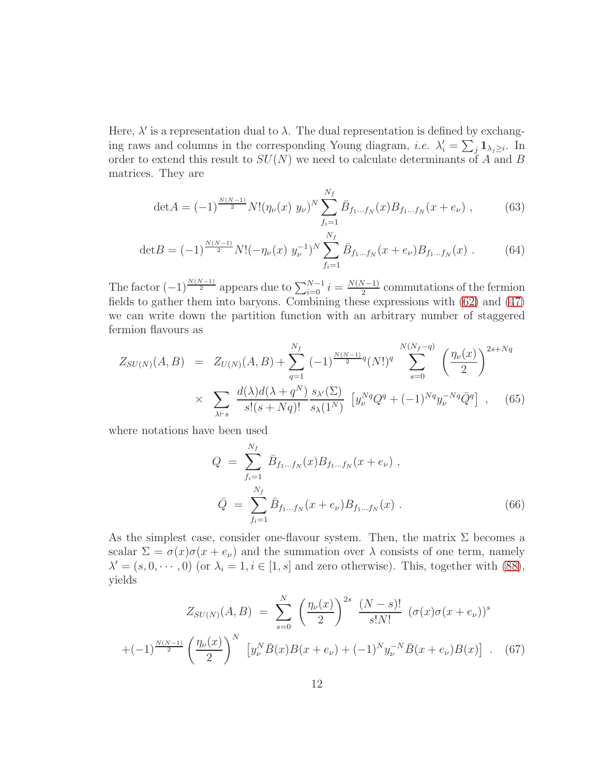Here,  $\lambda'$  is a representation dual to  $\lambda$ . The dual representation is defined by exchanging raws and columns in the corresponding Young diagram, *i.e.*  $\lambda'_i = \sum_j \mathbf{1}_{\lambda_j \geq i}$ . In order to extend this result to  $SU(N)$  we need to calculate determinants of A and B matrices. They are

$$
\det A = (-1)^{\frac{N(N-1)}{2}} N! (\eta_{\nu}(x) y_{\nu})^N \sum_{f_i=1}^{N_f} \bar{B}_{f_1 \dots f_N}(x) B_{f_1 \dots f_N}(x + e_{\nu}), \qquad (63)
$$

$$
\det B = (-1)^{\frac{N(N-1)}{2}} N! (-\eta_{\nu}(x) y_{\nu}^{-1})^N \sum_{f_i=1}^{N_f} \bar{B}_{f_1 \dots f_N}(x + e_{\nu}) B_{f_1 \dots f_N}(x) . \tag{64}
$$

The factor  $(-1)^{\frac{N(N-1)}{2}}$  appears due to  $\sum_{i=0}^{N-1} i = \frac{N(N-1)}{2}$  $\frac{\sqrt{2}-1}{2}$  commutations of the fermion fields to gather them into baryons. Combining these expressions with [\(62\)](#page-10-1) and [\(47\)](#page-8-0) we can write down the partition function with an arbitrary number of staggered fermion flavours as

$$
Z_{SU(N)}(A,B) = Z_{U(N)}(A,B) + \sum_{q=1}^{N_f} (-1)^{\frac{N(N-1)}{2}q} (N!)^q \sum_{s=0}^{N(N_f-q)} \left(\frac{\eta_{\nu}(x)}{2}\right)^{2s+Nq}
$$
  
 
$$
\times \sum_{\lambda \vdash s} \frac{d(\lambda) d(\lambda + q^N)}{s!(s+Nq)!} \frac{s_{\lambda'}(\Sigma)}{s_{\lambda}(1^N)} \left[y_{\nu}^{Nq} Q^q + (-1)^{Nq} y_{\nu}^{-Nq} \bar{Q}^q\right], \quad (65)
$$

where notations have been used

$$
Q = \sum_{f_i=1}^{N_f} \bar{B}_{f_1...f_N}(x) B_{f_1...f_N}(x + e_{\nu}),
$$
  
\n
$$
\bar{Q} = \sum_{f_i=1}^{N_f} \bar{B}_{f_1...f_N}(x + e_{\nu}) B_{f_1...f_N}(x) .
$$
\n(66)

As the simplest case, consider one-flavour system. Then, the matrix  $\Sigma$  becomes a scalar  $\Sigma = \sigma(x)\sigma(x + e_\nu)$  and the summation over  $\lambda$  consists of one term, namely  $\lambda' = (s, 0, \dots, 0)$  (or  $\lambda_i = 1, i \in [1, s]$  and zero otherwise). This, together with [\(88\)](#page-16-5), yields

$$
Z_{SU(N)}(A,B) = \sum_{s=0}^{N} \left(\frac{\eta_{\nu}(x)}{2}\right)^{2s} \frac{(N-s)!}{s!N!} \left(\sigma(x)\sigma(x+e_{\nu})\right)^{s}
$$

$$
+(-1)^{\frac{N(N-1)}{2}} \left(\frac{\eta_{\nu}(x)}{2}\right)^{N} \left[y_{\nu}^{N}\bar{B}(x)B(x+e_{\nu}) + (-1)^{N}y_{\nu}^{-N}\bar{B}(x+e_{\nu})B(x)\right].
$$
 (67)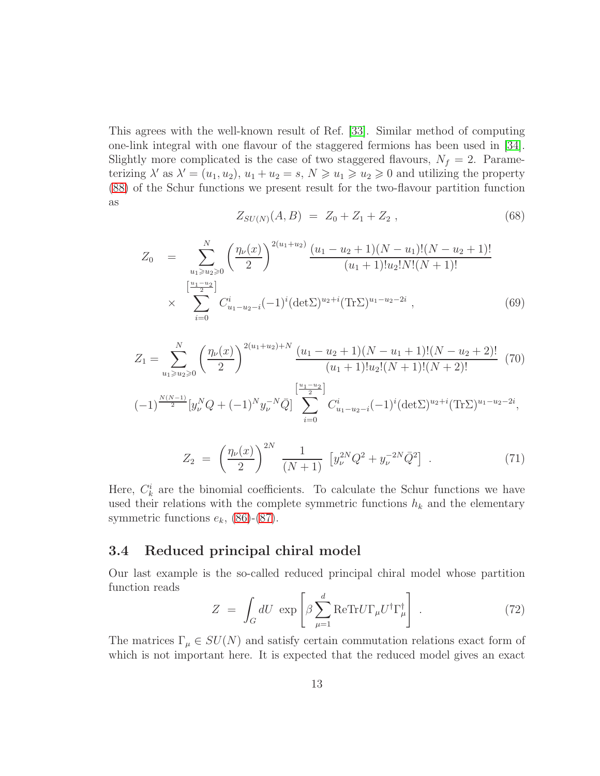This agrees with the well-known result of Ref. [\[33\]](#page-18-4). Similar method of computing one-link integral with one flavour of the staggered fermions has been used in [\[34\]](#page-18-5). Slightly more complicated is the case of two staggered flavours,  $N_f = 2$ . Parameterizing  $\lambda'$  as  $\lambda' = (u_1, u_2), u_1 + u_2 = s, N \geq u_1 \geq u_2 \geq 0$  and utilizing the property [\(88\)](#page-16-5) of the Schur functions we present result for the two-flavour partition function as

$$
Z_{SU(N)}(A,B) = Z_0 + Z_1 + Z_2 , \qquad (68)
$$

$$
Z_0 = \sum_{\substack{u_1 \ge u_2 \ge 0}}^N \left( \frac{\eta_{\nu}(x)}{2} \right)^{2(u_1 + u_2)} \frac{(u_1 - u_2 + 1)(N - u_1)!(N - u_2 + 1)!}{(u_1 + 1)! u_2! N! (N + 1)!}
$$
  
 
$$
\times \sum_{i=0}^{\left[\frac{u_1 - u_2}{2}\right]} C_{u_1 - u_2 - i}^i (-1)^i (\det \Sigma)^{u_2 + i} (\text{Tr} \Sigma)^{u_1 - u_2 - 2i} , \qquad (69)
$$

$$
Z_{1} = \sum_{u_{1} \ge u_{2} \ge 0}^{N} \left( \frac{\eta_{\nu}(x)}{2} \right)^{2(u_{1}+u_{2})+N} \frac{(u_{1}-u_{2}+1)(N-u_{1}+1)!(N-u_{2}+2)!}{(u_{1}+1)!u_{2}!(N+1)!(N+2)!} (70)
$$
  

$$
(-1)^{\frac{N(N-1)}{2}} [y_{\nu}^{N}Q + (-1)^{N}y_{\nu}^{-N}\bar{Q}] \sum_{i=0}^{\left[\frac{u_{1}-u_{2}}{2}\right]} C_{u_{1}-u_{2}-i}^{i}(-1)^{i} (\det \Sigma)^{u_{2}+i} (\text{Tr}\Sigma)^{u_{1}-u_{2}-2i},
$$

$$
Z_2 = \left(\frac{\eta_{\nu}(x)}{2}\right)^{2N} \frac{1}{(N+1)} \left[y_{\nu}^{2N}Q^2 + y_{\nu}^{-2N}\bar{Q}^2\right] \ . \tag{71}
$$

Here,  $C_k^i$  are the binomial coefficients. To calculate the Schur functions we have used their relations with the complete symmetric functions  $h_k$  and the elementary symmetric functions  $e_k$ , [\(86\)](#page-15-4)-[\(87\)](#page-16-6).

#### 3.4 Reduced principal chiral model

Our last example is the so-called reduced principal chiral model whose partition function reads

<span id="page-12-0"></span>
$$
Z = \int_G dU \, \exp\left[\beta \sum_{\mu=1}^d \text{ReTr} U \Gamma_{\mu} U^{\dagger} \Gamma_{\mu}^{\dagger}\right] \,. \tag{72}
$$

The matrices  $\Gamma_{\mu} \in SU(N)$  and satisfy certain commutation relations exact form of which is not important here. It is expected that the reduced model gives an exact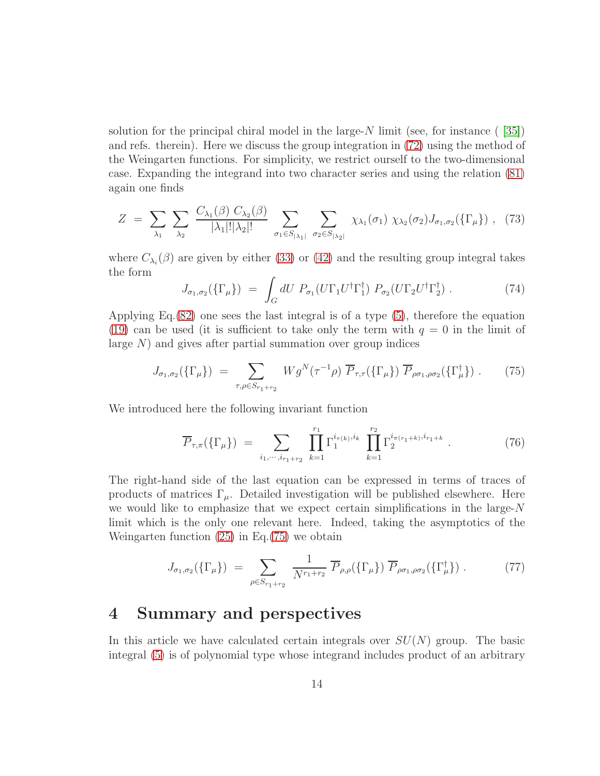solution for the principal chiral model in the large- $N$  limit (see, for instance ( [\[35\]](#page-18-6)) and refs. therein). Here we discuss the group integration in [\(72\)](#page-12-0) using the method of the Weingarten functions. For simplicity, we restrict ourself to the two-dimensional case. Expanding the integrand into two character series and using the relation [\(81\)](#page-15-2) again one finds

$$
Z = \sum_{\lambda_1} \sum_{\lambda_2} \frac{C_{\lambda_1}(\beta) C_{\lambda_2}(\beta)}{|\lambda_1|! |\lambda_2|!} \sum_{\sigma_1 \in S_{|\lambda_1|}} \sum_{\sigma_2 \in S_{|\lambda_2|}} \chi_{\lambda_1}(\sigma_1) \chi_{\lambda_2}(\sigma_2) J_{\sigma_1, \sigma_2}(\{\Gamma_{\mu}\}) , \quad (73)
$$

where  $C_{\lambda_i}(\beta)$  are given by either [\(33\)](#page-6-3) or [\(42\)](#page-8-3) and the resulting group integral takes the form

$$
J_{\sigma_1,\sigma_2}(\{\Gamma_\mu\}) = \int_G dU \ P_{\sigma_1}(U\Gamma_1 U^\dagger \Gamma_1^\dagger) \ P_{\sigma_2}(U\Gamma_2 U^\dagger \Gamma_2^\dagger) \ . \tag{74}
$$

Applying Eq.[\(82\)](#page-15-0) one sees the last integral is of a type [\(5\)](#page-2-1), therefore the equation [\(19\)](#page-4-0) can be used (it is sufficient to take only the term with  $q = 0$  in the limit of large  $N$ ) and gives after partial summation over group indices

<span id="page-13-0"></span>
$$
J_{\sigma_1,\sigma_2}(\{\Gamma_{\mu}\}) = \sum_{\tau,\rho \in S_{r_1+r_2}} W g^N(\tau^{-1}\rho) \overline{P}_{\tau,\tau}(\{\Gamma_{\mu}\}) \overline{P}_{\rho \sigma_1,\rho \sigma_2}(\{\Gamma_{\mu}^{\dagger}\}) . \tag{75}
$$

We introduced here the following invariant function

$$
\overline{P}_{\tau,\pi}(\{\Gamma_{\mu}\}) = \sum_{i_1,\cdots,i_{r_1+r_2}} \prod_{k=1}^{r_1} \Gamma_1^{i_{\tau(k)},i_k} \prod_{k=1}^{r_2} \Gamma_2^{i_{\pi(r_1+k)},i_{r_1+k}} . \tag{76}
$$

The right-hand side of the last equation can be expressed in terms of traces of products of matrices  $\Gamma_{\mu}$ . Detailed investigation will be published elsewhere. Here we would like to emphasize that we expect certain simplifications in the large-N limit which is the only one relevant here. Indeed, taking the asymptotics of the Weingarten function [\(25\)](#page-5-0) in Eq.[\(75\)](#page-13-0) we obtain

$$
J_{\sigma_1,\sigma_2}(\{\Gamma_\mu\}) = \sum_{\rho \in S_{r_1+r_2}} \frac{1}{N^{r_1+r_2}} \overline{P}_{\rho,\rho}(\{\Gamma_\mu\}) \overline{P}_{\rho \sigma_1,\rho \sigma_2}(\{\Gamma_\mu^{\dagger}\}) . \tag{77}
$$

### 4 Summary and perspectives

In this article we have calculated certain integrals over  $SU(N)$  group. The basic integral [\(5\)](#page-2-1) is of polynomial type whose integrand includes product of an arbitrary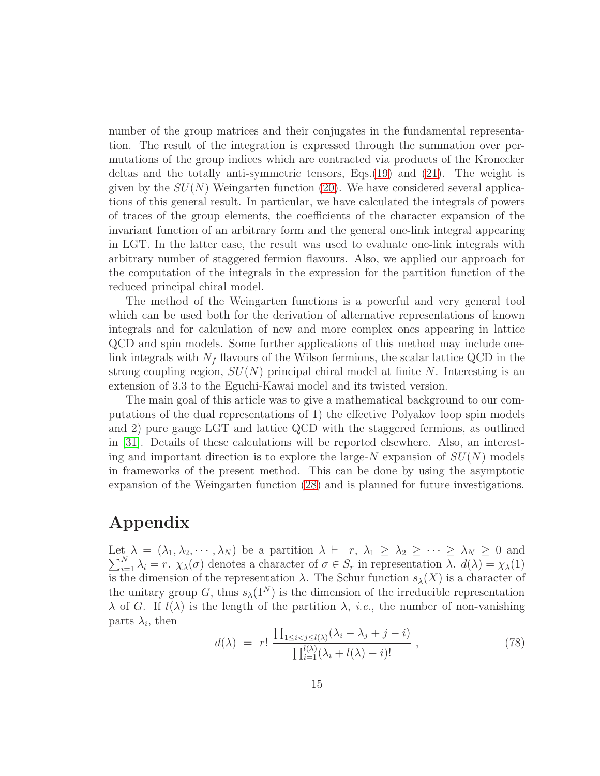number of the group matrices and their conjugates in the fundamental representation. The result of the integration is expressed through the summation over permutations of the group indices which are contracted via products of the Kronecker deltas and the totally anti-symmetric tensors, Eqs.[\(19\)](#page-4-0) and [\(21\)](#page-4-2). The weight is given by the  $SU(N)$  Weingarten function [\(20\)](#page-4-1). We have considered several applications of this general result. In particular, we have calculated the integrals of powers of traces of the group elements, the coefficients of the character expansion of the invariant function of an arbitrary form and the general one-link integral appearing in LGT. In the latter case, the result was used to evaluate one-link integrals with arbitrary number of staggered fermion flavours. Also, we applied our approach for the computation of the integrals in the expression for the partition function of the reduced principal chiral model.

The method of the Weingarten functions is a powerful and very general tool which can be used both for the derivation of alternative representations of known integrals and for calculation of new and more complex ones appearing in lattice QCD and spin models. Some further applications of this method may include onelink integrals with  $N_f$  flavours of the Wilson fermions, the scalar lattice QCD in the strong coupling region,  $SU(N)$  principal chiral model at finite N. Interesting is an extension of 3.3 to the Eguchi-Kawai model and its twisted version.

The main goal of this article was to give a mathematical background to our computations of the dual representations of 1) the effective Polyakov loop spin models and 2) pure gauge LGT and lattice QCD with the staggered fermions, as outlined in [\[31\]](#page-18-2). Details of these calculations will be reported elsewhere. Also, an interesting and important direction is to explore the large- $N$  expansion of  $SU(N)$  models in frameworks of the present method. This can be done by using the asymptotic expansion of the Weingarten function [\(28\)](#page-5-1) and is planned for future investigations.

### Appendix

 $\sum_{i=1}^{N} \lambda_i = r$ .  $\chi_{\lambda}(\sigma)$  denotes a character of  $\sigma \in S_r$  in representation  $\lambda$ .  $d(\lambda) = \chi_{\lambda}(1)$ Let  $\lambda = (\lambda_1, \lambda_2, \cdots, \lambda_N)$  be a partition  $\lambda \vdash r, \lambda_1 \geq \lambda_2 \geq \cdots \geq \lambda_N \geq 0$  and is the dimension of the representation  $\lambda$ . The Schur function  $s_{\lambda}(X)$  is a character of the unitary group G, thus  $s_{\lambda}(1^N)$  is the dimension of the irreducible representation  $\lambda$  of G. If  $l(\lambda)$  is the length of the partition  $\lambda$ , *i.e.*, the number of non-vanishing parts  $\lambda_i$ , then

$$
d(\lambda) = r! \frac{\prod_{1 \le i < j \le l(\lambda)} (\lambda_i - \lambda_j + j - i)}{\prod_{i=1}^{l(\lambda)} (\lambda_i + l(\lambda) - i)!} \,,\tag{78}
$$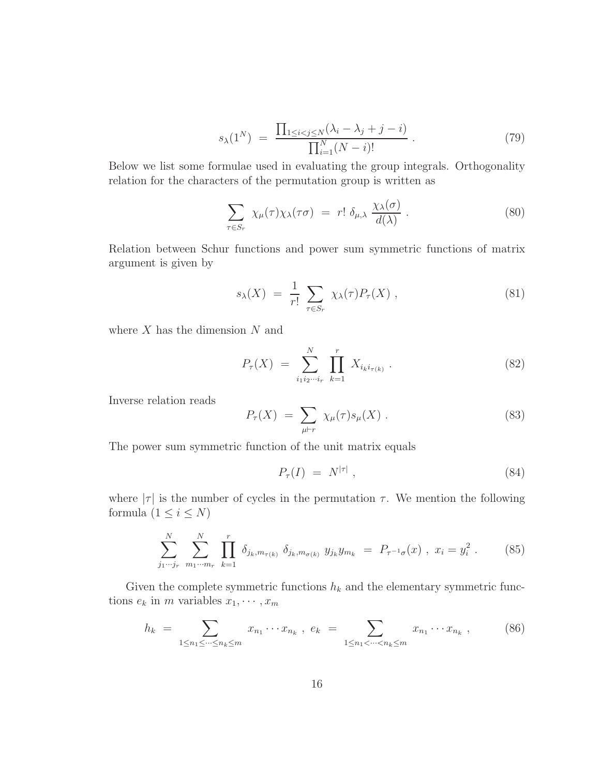$$
s_{\lambda}(1^{N}) = \frac{\prod_{1 \leq i < j \leq N} (\lambda_{i} - \lambda_{j} + j - i)}{\prod_{i=1}^{N} (N - i)!} \,. \tag{79}
$$

Below we list some formulae used in evaluating the group integrals. Orthogonality relation for the characters of the permutation group is written as

<span id="page-15-3"></span>
$$
\sum_{\tau \in S_r} \chi_{\mu}(\tau) \chi_{\lambda}(\tau \sigma) = r! \delta_{\mu, \lambda} \frac{\chi_{\lambda}(\sigma)}{d(\lambda)}.
$$
 (80)

Relation between Schur functions and power sum symmetric functions of matrix argument is given by

<span id="page-15-2"></span>
$$
s_{\lambda}(X) = \frac{1}{r!} \sum_{\tau \in S_r} \chi_{\lambda}(\tau) P_{\tau}(X) , \qquad (81)
$$

where  $X$  has the dimension  $N$  and

<span id="page-15-0"></span>
$$
P_{\tau}(X) = \sum_{i_1 i_2 \cdots i_r}^{N} \prod_{k=1}^{r} X_{i_k i_{\tau(k)}}.
$$
 (82)

Inverse relation reads

<span id="page-15-1"></span>
$$
P_{\tau}(X) = \sum_{\mu \vdash r} \chi_{\mu}(\tau) s_{\mu}(X) . \tag{83}
$$

The power sum symmetric function of the unit matrix equals

$$
P_{\tau}(I) = N^{|\tau|} \tag{84}
$$

where  $|\tau|$  is the number of cycles in the permutation  $\tau$ . We mention the following formula  $(1 \leq i \leq N)$ 

$$
\sum_{j_1\cdots j_r}^N \sum_{m_1\cdots m_r}^N \prod_{k=1}^r \delta_{j_k, m_{\tau(k)}} \delta_{j_k, m_{\sigma(k)}} y_{j_k} y_{m_k} = P_{\tau^{-1}\sigma}(x) , x_i = y_i^2.
$$
 (85)

Given the complete symmetric functions  $h_k$  and the elementary symmetric functions  $e_k$  in m variables  $x_1, \dots, x_m$ 

<span id="page-15-4"></span>
$$
h_k = \sum_{1 \le n_1 \le \dots \le n_k \le m} x_{n_1} \cdots x_{n_k}, \ e_k = \sum_{1 \le n_1 < \dots < n_k \le m} x_{n_1} \cdots x_{n_k}, \tag{86}
$$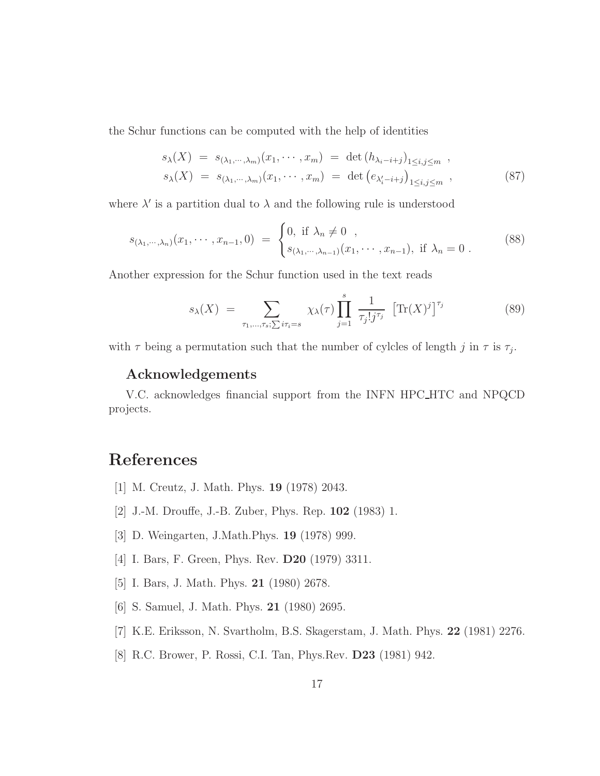the Schur functions can be computed with the help of identities

<span id="page-16-6"></span>
$$
s_{\lambda}(X) = s_{(\lambda_1, \cdots, \lambda_m)}(x_1, \cdots, x_m) = \det (h_{\lambda_i - i + j})_{1 \le i, j \le m} ,
$$
  

$$
s_{\lambda}(X) = s_{(\lambda_1, \cdots, \lambda_m)}(x_1, \cdots, x_m) = \det (e_{\lambda'_i - i + j})_{1 \le i, j \le m} ,
$$
 (87)

where  $\lambda'$  is a partition dual to  $\lambda$  and the following rule is understood

<span id="page-16-5"></span>
$$
s_{(\lambda_1,\dots,\lambda_n)}(x_1,\dots,x_{n-1},0) = \begin{cases} 0, \text{ if } \lambda_n \neq 0, \\ s_{(\lambda_1,\dots,\lambda_{n-1})}(x_1,\dots,x_{n-1}), \text{ if } \lambda_n = 0. \end{cases}
$$
 (88)

Another expression for the Schur function used in the text reads

<span id="page-16-4"></span>
$$
s_{\lambda}(X) = \sum_{\tau_1,\ldots,\tau_s;\sum i\tau_i=s} \chi_{\lambda}(\tau) \prod_{j=1}^s \frac{1}{\tau_j! j^{\tau_j}} \left[ \text{Tr}(X)^j \right]^{\tau_j} \tag{89}
$$

with  $\tau$  being a permutation such that the number of cylcles of length j in  $\tau$  is  $\tau_j$ .

#### Acknowledgements

V.C. acknowledges financial support from the INFN HPC HTC and NPQCD projects.

## <span id="page-16-0"></span>References

- <span id="page-16-1"></span>[1] M. Creutz, J. Math. Phys. 19 (1978) 2043.
- <span id="page-16-2"></span>[2] J.-M. Drouffe, J.-B. Zuber, Phys. Rep. 102 (1983) 1.
- [3] D. Weingarten, J.Math.Phys. 19 (1978) 999.
- [4] I. Bars, F. Green, Phys. Rev. D20 (1979) 3311.
- <span id="page-16-3"></span>[5] I. Bars, J. Math. Phys. 21 (1980) 2678.
- [6] S. Samuel, J. Math. Phys. 21 (1980) 2695.
- [7] K.E. Eriksson, N. Svartholm, B.S. Skagerstam, J. Math. Phys. 22 (1981) 2276.
- [8] R.C. Brower, P. Rossi, C.I. Tan, Phys.Rev. D23 (1981) 942.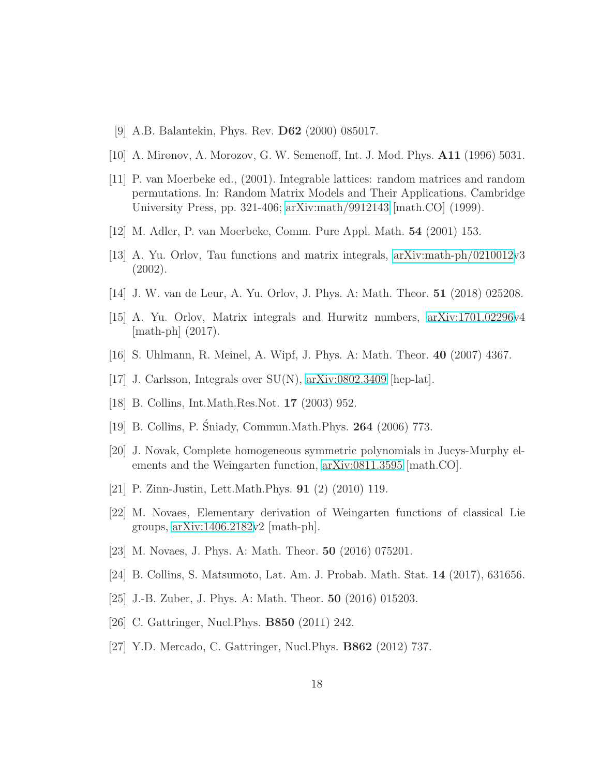- <span id="page-17-1"></span><span id="page-17-0"></span>[9] A.B. Balantekin, Phys. Rev. D62 (2000) 085017.
- [10] A. Mironov, A. Morozov, G. W. Semenoff, Int. J. Mod. Phys. A11 (1996) 5031.
- [11] P. van Moerbeke ed., (2001). Integrable lattices: random matrices and random permutations. In: Random Matrix Models and Their Applications. Cambridge University Press, pp. 321-406; [arXiv:math/9912143](http://arxiv.org/abs/math/9912143) [math.CO] (1999).
- [12] M. Adler, P. van Moerbeke, Comm. Pure Appl. Math. 54 (2001) 153.
- [13] A. Yu. Orlov, Tau functions and matrix integrals, [arXiv:math-ph/0210012v](http://arxiv.org/abs/math-ph/0210012)3 (2002).
- <span id="page-17-2"></span>[14] J. W. van de Leur, A. Yu. Orlov, J. Phys. A: Math. Theor. 51 (2018) 025208.
- <span id="page-17-3"></span>[15] A. Yu. Orlov, Matrix integrals and Hurwitz numbers, [arXiv:1701.02296v](http://arxiv.org/abs/1701.02296)4  $\vert$ math-ph $\vert$  (2017).
- <span id="page-17-4"></span>[16] S. Uhlmann, R. Meinel, A. Wipf, J. Phys. A: Math. Theor. 40 (2007) 4367.
- <span id="page-17-5"></span>[17] J. Carlsson, Integrals over SU(N), [arXiv:0802.3409](http://arxiv.org/abs/0802.3409) [hep-lat].
- <span id="page-17-7"></span>[18] B. Collins, Int.Math.Res.Not. 17 (2003) 952.
- [19] B. Collins, P. Sniady, Commun.Math.Phys. **264** (2006) 773.
- [20] J. Novak, Complete homogeneous symmetric polynomials in Jucys-Murphy elements and the Weingarten function, [arXiv:0811.3595](http://arxiv.org/abs/0811.3595) [math.CO].
- <span id="page-17-10"></span>[21] P. Zinn-Justin, Lett.Math.Phys. 91 (2) (2010) 119.
- [22] M. Novaes, Elementary derivation of Weingarten functions of classical Lie groups, [arXiv:1406.2182v](http://arxiv.org/abs/1406.2182)2 [math-ph].
- [23] M. Novaes, J. Phys. A: Math. Theor. 50 (2016) 075201.
- <span id="page-17-6"></span>[24] B. Collins, S. Matsumoto, Lat. Am. J. Probab. Math. Stat. 14 (2017), 631656.
- <span id="page-17-8"></span>[25] J.-B. Zuber, J. Phys. A: Math. Theor. 50 (2016) 015203.
- <span id="page-17-9"></span>[26] C. Gattringer, Nucl. Phys. **B850** (2011) 242.
- [27] Y.D. Mercado, C. Gattringer, Nucl.Phys. B862 (2012) 737.